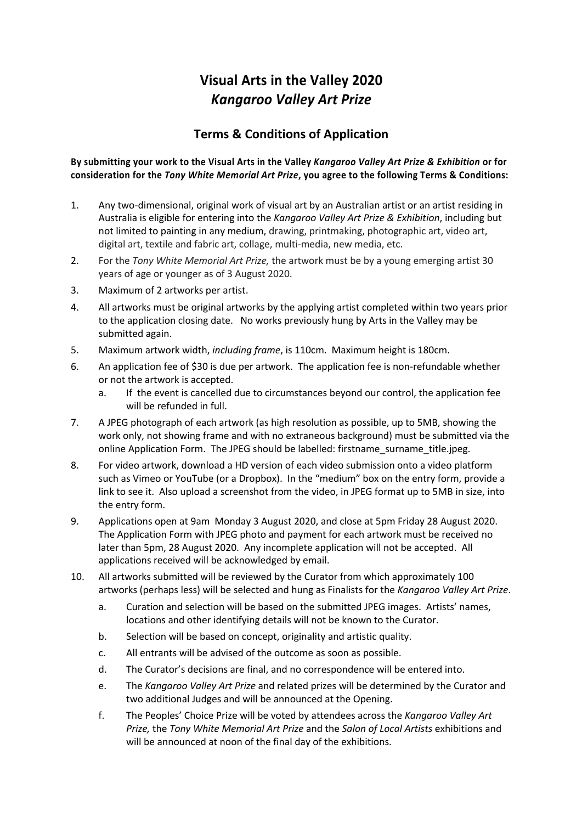## **Visual Arts in the Valley 2020** *Kangaroo Valley Art Prize*

## **Terms & Conditions of Application**

## **By submitting your work to the Visual Arts in the Valley** *Kangaroo Valley Art Prize & Exhibition* **or for consideration for the** *Tony White Memorial Art Prize***, you agree to the following Terms & Conditions:**

- 1. Any two-dimensional, original work of visual art by an Australian artist or an artist residing in Australia is eligible for entering into the *Kangaroo Valley Art Prize & Exhibition*, including but not limited to painting in any medium, drawing, printmaking, photographic art, video art, digital art, textile and fabric art, collage, multi-media, new media, etc.
- 2. For the *Tony White Memorial Art Prize,* the artwork must be by a young emerging artist 30 years of age or younger as of 3 August 2020.
- 3. Maximum of 2 artworks per artist.
- 4. All artworks must be original artworks by the applying artist completed within two years prior to the application closing date. No works previously hung by Arts in the Valley may be submitted again.
- 5. Maximum artwork width, *including frame*, is 110cm. Maximum height is 180cm.
- 6. An application fee of \$30 is due per artwork. The application fee is non-refundable whether or not the artwork is accepted.
	- a. If the event is cancelled due to circumstances beyond our control, the application fee will be refunded in full.
- 7. A JPEG photograph of each artwork (as high resolution as possible, up to 5MB, showing the work only, not showing frame and with no extraneous background) must be submitted via the online Application Form. The JPEG should be labelled: firstname\_surname\_title.jpeg.
- 8. For video artwork, download a HD version of each video submission onto a video platform such as Vimeo or YouTube (or a Dropbox). In the "medium" box on the entry form, provide a link to see it. Also upload a screenshot from the video, in JPEG format up to 5MB in size, into the entry form.
- 9. Applications open at 9am Monday 3 August 2020, and close at 5pm Friday 28 August 2020. The Application Form with JPEG photo and payment for each artwork must be received no later than 5pm, 28 August 2020. Any incomplete application will not be accepted. All applications received will be acknowledged by email.
- 10. All artworks submitted will be reviewed by the Curator from which approximately 100 artworks (perhaps less) will be selected and hung as Finalists for the *Kangaroo Valley Art Prize*.
	- a. Curation and selection will be based on the submitted JPEG images. Artists' names, locations and other identifying details will not be known to the Curator.
	- b. Selection will be based on concept, originality and artistic quality.
	- c. All entrants will be advised of the outcome as soon as possible.
	- d. The Curator's decisions are final, and no correspondence will be entered into.
	- e. The *Kangaroo Valley Art Prize* and related prizes will be determined by the Curator and two additional Judges and will be announced at the Opening.
	- f. The Peoples' Choice Prize will be voted by attendees across the *Kangaroo Valley Art Prize,* the *Tony White Memorial Art Prize* and the *Salon of Local Artists* exhibitions and will be announced at noon of the final day of the exhibitions.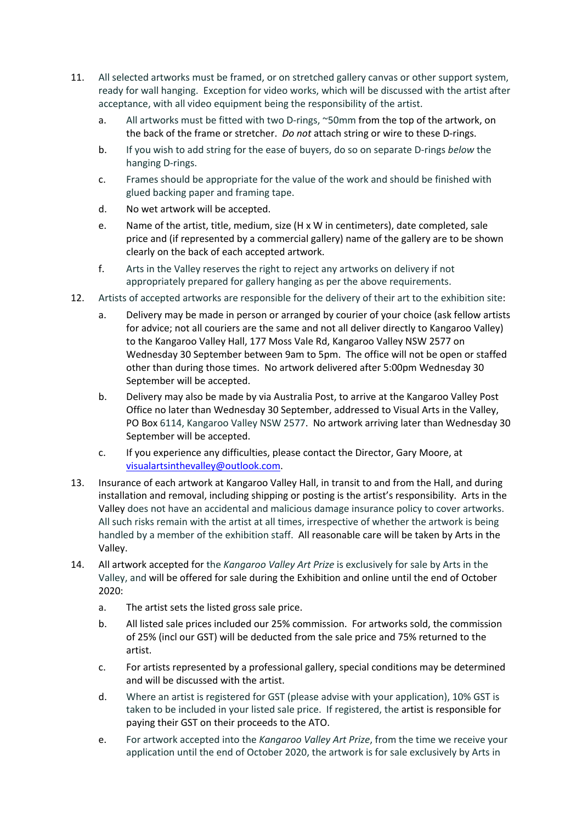- 11. All selected artworks must be framed, or on stretched gallery canvas or other support system, ready for wall hanging. Exception for video works, which will be discussed with the artist after acceptance, with all video equipment being the responsibility of the artist.
	- a. All artworks must be fitted with two D-rings, ~50mm from the top of the artwork, on the back of the frame or stretcher. *Do not* attach string or wire to these D-rings.
	- b. If you wish to add string for the ease of buyers, do so on separate D-rings *below* the hanging D-rings.
	- c. Frames should be appropriate for the value of the work and should be finished with glued backing paper and framing tape.
	- d. No wet artwork will be accepted.
	- e. Name of the artist, title, medium, size (H x W in centimeters), date completed, sale price and (if represented by a commercial gallery) name of the gallery are to be shown clearly on the back of each accepted artwork.
	- f. Arts in the Valley reserves the right to reject any artworks on delivery if not appropriately prepared for gallery hanging as per the above requirements.
- 12. Artists of accepted artworks are responsible for the delivery of their art to the exhibition site:
	- a. Delivery may be made in person or arranged by courier of your choice (ask fellow artists for advice; not all couriers are the same and not all deliver directly to Kangaroo Valley) to the Kangaroo Valley Hall, 177 Moss Vale Rd, Kangaroo Valley NSW 2577 on Wednesday 30 September between 9am to 5pm. The office will not be open or staffed other than during those times. No artwork delivered after 5:00pm Wednesday 30 September will be accepted.
	- b. Delivery may also be made by via Australia Post, to arrive at the Kangaroo Valley Post Office no later than Wednesday 30 September, addressed to Visual Arts in the Valley, PO Box 6114, Kangaroo Valley NSW 2577. No artwork arriving later than Wednesday 30 September will be accepted.
	- c. If you experience any difficulties, please contact the Director, Gary Moore, at visualartsinthevalley@outlook.com.
- 13. Insurance of each artwork at Kangaroo Valley Hall, in transit to and from the Hall, and during installation and removal, including shipping or posting is the artist's responsibility. Arts in the Valley does not have an accidental and malicious damage insurance policy to cover artworks. All such risks remain with the artist at all times, irrespective of whether the artwork is being handled by a member of the exhibition staff. All reasonable care will be taken by Arts in the Valley.
- 14. All artwork accepted for the *Kangaroo Valley Art Prize* is exclusively for sale by Arts in the Valley, and will be offered for sale during the Exhibition and online until the end of October 2020:
	- a. The artist sets the listed gross sale price.
	- b. All listed sale prices included our 25% commission. For artworks sold, the commission of 25% (incl our GST) will be deducted from the sale price and 75% returned to the artist.
	- c. For artists represented by a professional gallery, special conditions may be determined and will be discussed with the artist.
	- d. Where an artist is registered for GST (please advise with your application), 10% GST is taken to be included in your listed sale price. If registered, the artist is responsible for paying their GST on their proceeds to the ATO.
	- e. For artwork accepted into the *Kangaroo Valley Art Prize*, from the time we receive your application until the end of October 2020, the artwork is for sale exclusively by Arts in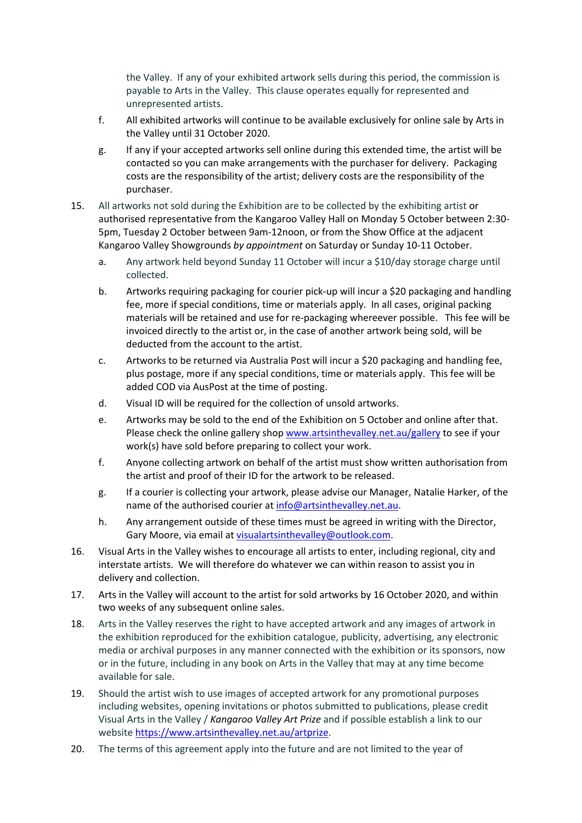the Valley. If any of your exhibited artwork sells during this period, the commission is payable to Arts in the Valley. This clause operates equally for represented and unrepresented artists.

- f. All exhibited artworks will continue to be available exclusively for online sale by Arts in the Valley until 31 October 2020.
- g. If any if your accepted artworks sell online during this extended time, the artist will be contacted so you can make arrangements with the purchaser for delivery. Packaging costs are the responsibility of the artist; delivery costs are the responsibility of the purchaser.
- 15. All artworks not sold during the Exhibition are to be collected by the exhibiting artist or authorised representative from the Kangaroo Valley Hall on Monday 5 October between 2:30- 5pm, Tuesday 2 October between 9am-12noon, or from the Show Office at the adjacent Kangaroo Valley Showgrounds *by appointment* on Saturday or Sunday 10-11 October.
	- a. Any artwork held beyond Sunday 11 October will incur a \$10/day storage charge until collected.
	- b. Artworks requiring packaging for courier pick-up will incur a \$20 packaging and handling fee, more if special conditions, time or materials apply. In all cases, original packing materials will be retained and use for re-packaging whereever possible. This fee will be invoiced directly to the artist or, in the case of another artwork being sold, will be deducted from the account to the artist.
	- c. Artworks to be returned via Australia Post will incur a \$20 packaging and handling fee, plus postage, more if any special conditions, time or materials apply. This fee will be added COD via AusPost at the time of posting.
	- d. Visual ID will be required for the collection of unsold artworks.
	- e. Artworks may be sold to the end of the Exhibition on 5 October and online after that. Please check the online gallery shop www.artsinthevalley.net.au/gallery to see if your work(s) have sold before preparing to collect your work.
	- f. Anyone collecting artwork on behalf of the artist must show written authorisation from the artist and proof of their ID for the artwork to be released.
	- g. If a courier is collecting your artwork, please advise our Manager, Natalie Harker, of the name of the authorised courier at info@artsinthevalley.net.au.
	- h. Any arrangement outside of these times must be agreed in writing with the Director, Gary Moore, via email at visualartsinthevalley@outlook.com.
- 16. Visual Arts in the Valley wishes to encourage all artists to enter, including regional, city and interstate artists. We will therefore do whatever we can within reason to assist you in delivery and collection.
- 17. Arts in the Valley will account to the artist for sold artworks by 16 October 2020, and within two weeks of any subsequent online sales.
- 18. Arts in the Valley reserves the right to have accepted artwork and any images of artwork in the exhibition reproduced for the exhibition catalogue, publicity, advertising, any electronic media or archival purposes in any manner connected with the exhibition or its sponsors, now or in the future, including in any book on Arts in the Valley that may at any time become available for sale.
- 19. Should the artist wish to use images of accepted artwork for any promotional purposes including websites, opening invitations or photos submitted to publications, please credit Visual Arts in the Valley / *Kangaroo Valley Art Prize* and if possible establish a link to our website https://www.artsinthevalley.net.au/artprize.
- 20. The terms of this agreement apply into the future and are not limited to the year of